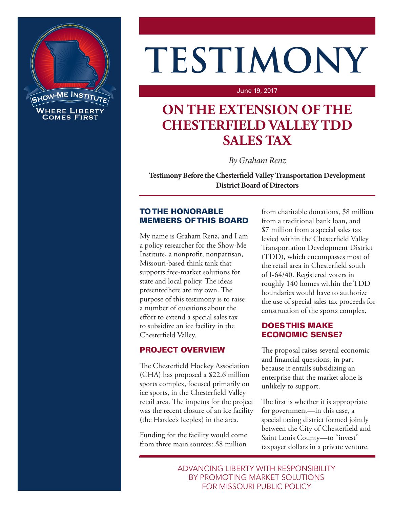

# **TESTIMONY**

#### June 19, 2017

# **ON THE EXTENSION OF THE CHESTERFIELD VALLEY TDD SALES TAX**

*By Graham Renz*

**Testimony Before the Chesterfield Valley Transportation Development District Board of Directors**

#### TO THE HONORABLE MEMBERS OF THIS BOARD

My name is Graham Renz, and I am a policy researcher for the Show-Me Institute, a nonprofit, nonpartisan, Missouri-based think tank that supports free-market solutions for state and local policy. The ideas presentedhere are my own. The purpose of this testimony is to raise a number of questions about the effort to extend a special sales tax to subsidize an ice facility in the Chesterfield Valley.

## PROJECT OVERVIEW

The Chesterfield Hockey Association (CHA) has proposed a \$22.6 million sports complex, focused primarily on ice sports, in the Chesterfield Valley retail area. The impetus for the project was the recent closure of an ice facility (the Hardee's Iceplex) in the area.

Funding for the facility would come from three main sources: \$8 million

from charitable donations, \$8 million from a traditional bank loan, and \$7 million from a special sales tax levied within the Chesterfield Valley Transportation Development District (TDD), which encompasses most of the retail area in Chesterfield south of I-64/40. Registered voters in roughly 140 homes within the TDD boundaries would have to authorize the use of special sales tax proceeds for construction of the sports complex.

#### DOES THIS MAKE ECONOMIC SENSE?

The proposal raises several economic and financial questions, in part because it entails subsidizing an enterprise that the market alone is unlikely to support.

The first is whether it is appropriate for government—in this case, a special taxing district formed jointly between the City of Chesterfield and Saint Louis County—to "invest" taxpayer dollars in a private venture.

ADVANCING LIBERTY WITH RESPONSIBILITY BY PROMOTING MARKET SOLUTIONS FOR MISSOURI PUBLIC POLICY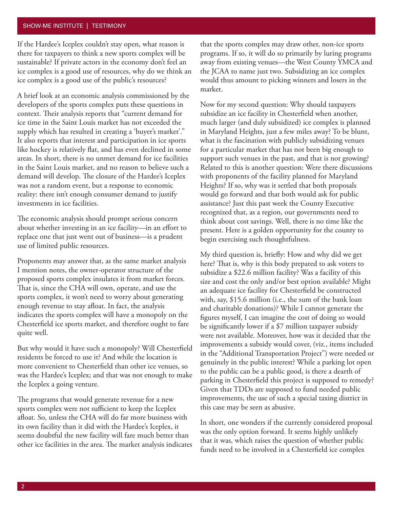#### SHOW-ME INSTITUTE | TESTIMONY

If the Hardee's Iceplex couldn't stay open, what reason is there for taxpayers to think a new sports complex will be sustainable? If private actors in the economy don't feel an ice complex is a good use of resources, why do we think an ice complex is a good use of the public's resources?

A brief look at an economic analysis commissioned by the developers of the sports complex puts these questions in context. Their analysis reports that "current demand for ice time in the Saint Louis market has not exceeded the supply which has resulted in creating a 'buyer's market'." It also reports that interest and participation in ice sports like hockey is relatively flat, and has even declined in some areas. In short, there is no unmet demand for ice facilities in the Saint Louis market, and no reason to believe such a demand will develop. The closure of the Hardee's Iceplex was not a random event, but a response to economic reality: there isn't enough consumer demand to justify investments in ice facilities.

The economic analysis should prompt serious concern about whether investing in an ice facility—in an effort to replace one that just went out of business—is a prudent use of limited public resources.

Proponents may answer that, as the same market analysis I mention notes, the owner-operator structure of the proposed sports complex insulates it from market forces. That is, since the CHA will own, operate, and use the sports complex, it won't need to worry about generating enough revenue to stay afloat. In fact, the analysis indicates the sports complex will have a monopoly on the Chesterfield ice sports market, and therefore ought to fare quite well.

But why would it have such a monopoly? Will Chesterfield residents be forced to use it? And while the location is more convenient to Chesterfield than other ice venues, so was the Hardee's Iceplex; and that was not enough to make the Iceplex a going venture.

The programs that would generate revenue for a new sports complex were not sufficient to keep the Iceplex afloat. So, unless the CHA will do far more business with its own facility than it did with the Hardee's Iceplex, it seems doubtful the new facility will fare much better than other ice facilities in the area. The market analysis indicates that the sports complex may draw other, non-ice sports programs. If so, it will do so primarily by luring programs away from existing venues—the West County YMCA and the JCAA to name just two. Subsidizing an ice complex would thus amount to picking winners and losers in the market.

Now for my second question: Why should taxpayers subsidize an ice facility in Chesterfield when another, much larger (and duly subsidized) ice complex is planned in Maryland Heights, just a few miles away? To be blunt, what is the fascination with publicly subsidizing venues for a particular market that has not been big enough to support such venues in the past, and that is not growing? Related to this is another question: Were there discussions with proponents of the facility planned for Maryland Heights? If so, why was it settled that both proposals would go forward and that both would ask for public assistance? Just this past week the County Executive recognized that, as a region, our governments need to think about cost savings. Well, there is no time like the present. Here is a golden opportunity for the county to begin exercising such thoughtfulness.

My third question is, briefly: How and why did we get here? That is, why is this body prepared to ask voters to subsidize a \$22.6 million facility? Was a facility of this size and cost the only and/or best option available? Might an adequate ice facility for Chesterfield be constructed with, say, \$15.6 million (i.e., the sum of the bank loan and charitable donations)? While I cannot generate the figures myself, I can imagine the cost of doing so would be significantly lower if a \$7 million taxpayer subsidy were not available. Moreover, how was it decided that the improvements a subsidy would cover, (viz., items included in the "Additional Transportation Project") were needed or genuinely in the public interest? While a parking lot open to the public can be a public good, is there a dearth of parking in Chesterfield this project is supposed to remedy? Given that TDDs are supposed to fund needed public improvements, the use of such a special taxing district in this case may be seen as abusive.

In short, one wonders if the currently considered proposal was the only option forward. It seems highly unlikely that it was, which raises the question of whether public funds need to be involved in a Chesterfield ice complex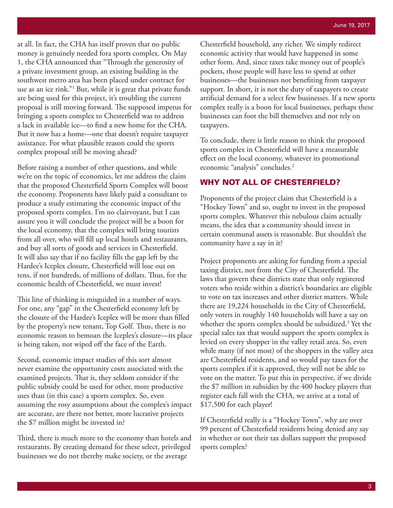at all. In fact, the CHA has itself proven that no public money is genuinely needed fora sports complex. On May 1, the CHA announced that "Through the generosity of a private investment group, an existing building in the southwest metro area has been placed under contract for use as an ice rink."1 But, while it is great that private funds are being used for this project, it's troubling the current proposal is still moving forward. The supposed impetus for bringing a sports complex to Chesterfield was to address a lack in available ice—to find a new home for the CHA. But it now has a home—one that doesn't require taxpayer assistance. For what plausible reason could the sports complex proposal still be moving ahead?

Before raising a number of other questions, and while we're on the topic of economics, let me address the claim that the proposed Chesterfield Sports Complex will boost the economy. Proponents have likely paid a consultant to produce a study estimating the economic impact of the proposed sports complex. I'm no clairvoyant, but I can assure you it will conclude the project will be a boon for the local economy, that the complex will bring tourists from all over, who will fill up local hotels and restaurants, and buy all sorts of goods and services in Chesterfield. It will also say that if no facility fills the gap left by the Hardee's Iceplex closure, Chesterfield will lose out on tens, if not hundreds, of millions of dollars. Thus, for the economic health of Chesterfield, we must invest!

This line of thinking is misguided in a number of ways. For one, any "gap" in the Chesterfield economy left by the closure of the Hardee's Iceplex will be more than filled by the property's new tenant, Top Golf. Thus, there is no economic reason to bemoan the Iceplex's closure—its place is being taken, not wiped off the face of the Earth.

Second, economic impact studies of this sort almost never examine the opportunity costs associated with the examined projects. That is, they seldom consider if the public subsidy could be used for other, more productive uses than (in this case) a sports complex. So, even assuming the rosy assumptions about the complex's impact are accurate, are there not better, more lucrative projects the \$7 million might be invested in?

Third, there is much more to the economy than hotels and restaurants. By creating demand for these select, privileged businesses we do not thereby make society, or the average

Chesterfield household, any richer. We simply redirect economic activity that would have happened in some other form. And, since taxes take money out of people's pockets, those people will have less to spend at other businesses—the businesses not benefiting from taxpayer support. In short, it is not the duty of taxpayers to create artificial demand for a select few businesses. If a new sports complex really is a boon for local businesses, perhaps these businesses can foot the bill themselves and not rely on taxpayers.

To conclude, there is little reason to think the proposed sports complex in Chesterfield will have a measurable effect on the local economy, whatever its promotional economic "analysis" concludes.<sup>2</sup>

#### WHY NOT ALL OF CHESTERFIELD?

Proponents of the project claim that Chesterfield is a "Hockey Town" and so, ought to invest in the proposed sports complex. Whatever this nebulous claim actually means, the idea that a community should invest in certain communal assets is reasonable. But shouldn't the community have a say in it?

Project proponents are asking for funding from a special taxing district, not from the City of Chesterfield. The laws that govern these districts state that only registered voters who reside within a district's boundaries are eligible to vote on tax increases and other district matters. While there are 19,224 households in the City of Chesterfield, only voters in roughly 140 households will have a say on whether the sports complex should be subsidized.3 Yet the special sales tax that would support the sports complex is levied on every shopper in the valley retail area. So, even while many (if not most) of the shoppers in the valley area are Chesterfield residents, and so would pay taxes for the sports complex if it is approved, they will not be able to vote on the matter. To put this in perspective, if we divide the \$7 million in subsidies by the 400 hockey players that register each fall with the CHA, we arrive at a total of \$17,500 for each player!

If Chesterfield really is a "Hockey Town", why are over 99 percent of Chesterfield residents being denied any say in whether or not their tax dollars support the proposed sports complex?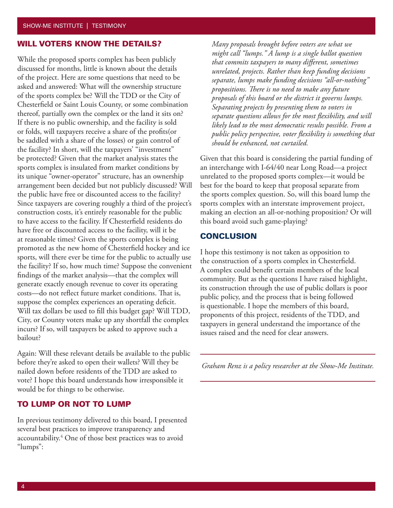#### WILL VOTERS KNOW THE DETAILS?

While the proposed sports complex has been publicly discussed for months, little is known about the details of the project. Here are some questions that need to be asked and answered: What will the ownership structure of the sports complex be? Will the TDD or the City of Chesterfield or Saint Louis County, or some combination thereof, partially own the complex or the land it sits on? If there is no public ownership, and the facility is sold or folds, will taxpayers receive a share of the profits(or be saddled with a share of the losses) or gain control of the facility? In short, will the taxpayers' "investment" be protected? Given that the market analysis states the sports complex is insulated from market conditions by its unique "owner-operator" structure, has an ownership arrangement been decided but not publicly discussed? Will the public have free or discounted access to the facility? Since taxpayers are covering roughly a third of the project's construction costs, it's entirely reasonable for the public to have access to the facility. If Chesterfield residents do have free or discounted access to the facility, will it be at reasonable times? Given the sports complex is being promoted as the new home of Chesterfield hockey and ice sports, will there ever be time for the public to actually use the facility? If so, how much time? Suppose the convenient findings of the market analysis—that the complex will generate exactly enough revenue to cover its operating costs—do not reflect future market conditions. That is, suppose the complex experiences an operating deficit. Will tax dollars be used to fill this budget gap? Will TDD, City, or County voters make up any shortfall the complex incurs? If so, will taxpayers be asked to approve such a bailout?

Again: Will these relevant details be available to the public before they're asked to open their wallets? Will they be nailed down before residents of the TDD are asked to vote? I hope this board understands how irresponsible it would be for things to be otherwise.

#### TO LUMP OR NOT TO LUMP

In previous testimony delivered to this board, I presented several best practices to improve transparency and accountability.4 One of those best practices was to avoid "lumps":

*Many proposals brought before voters are what we might call "lumps." A lump is a single ballot question that commits taxpayers to many different, sometimes unrelated, projects. Rather than keep funding decisions separate, lumps make funding decisions "all-or-nothing" propositions. There is no need to make any future proposals of this board or the district it governs lumps. Separating projects by presenting them to voters in separate questions allows for the most flexibility, and will likely lead to the most democratic results possible. From a public policy perspective, voter flexibility is something that should be enhanced, not curtailed.*

Given that this board is considering the partial funding of an interchange with I-64/40 near Long Road—a project unrelated to the proposed sports complex—it would be best for the board to keep that proposal separate from the sports complex question. So, will this board lump the sports complex with an interstate improvement project, making an election an all-or-nothing proposition? Or will this board avoid such game-playing?

#### **CONCLUSION**

I hope this testimony is not taken as opposition to the construction of a sports complex in Chesterfield. A complex could benefit certain members of the local community. But as the questions I have raised highlight, its construction through the use of public dollars is poor public policy, and the process that is being followed is questionable. I hope the members of this board, proponents of this project, residents of the TDD, and taxpayers in general understand the importance of the issues raised and the need for clear answers.

*Graham Renz is a policy researcher at the Show-Me Institute.*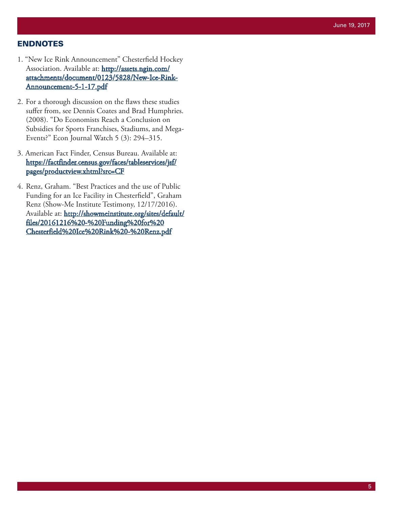#### ENDNOTES

- 1. "New Ice Rink Announcement" Chesterfield Hockey Association. Available at: [http://assets.ngin.com/](http://assets.ngin.com/attachments/document/0123/5828/New-Ice-Rink-Announcement-5-1-17.pdf) [attachments/document/0123/5828/New-Ice-Rink-](http://assets.ngin.com/attachments/document/0123/5828/New-Ice-Rink-Announcement-5-1-17.pdf)[Announcement-5-1-17.pdf](http://assets.ngin.com/attachments/document/0123/5828/New-Ice-Rink-Announcement-5-1-17.pdf)
- 2. For a thorough discussion on the flaws these studies suffer from, see Dennis Coates and Brad Humphries. (2008). "Do Economists Reach a Conclusion on Subsidies for Sports Franchises, Stadiums, and Mega-Events?" Econ Journal Watch 5 (3): 294–315.
- 3. American Fact Finder, Census Bureau. Available at: [https://factfinder.census.gov/faces/tableservices/jsf/](https://factfinder.census.gov/faces/tableservices/jsf/pages/productview.xhtml?src=CF) [pages/productview.xhtml?src=CF](https://factfinder.census.gov/faces/tableservices/jsf/pages/productview.xhtml?src=CF)
- 4. Renz, Graham. "Best Practices and the use of Public Funding for an Ice Facility in Chesterfield", Graham Renz (Show-Me Institute Testimony, 12/17/2016). Available at: [http://showmeinstitute.org/sites/default/](http://showmeinstitute.org/sites/default/files/20161216 - Funding for Chesterfield Ice Rink - Renz.pdf) [files/20161216%20-%20Funding%20for%20](http://showmeinstitute.org/sites/default/files/20161216 - Funding for Chesterfield Ice Rink - Renz.pdf) [Chesterfield%20Ice%20Rink%20-%20Renz.pdf](http://showmeinstitute.org/sites/default/files/20161216 - Funding for Chesterfield Ice Rink - Renz.pdf)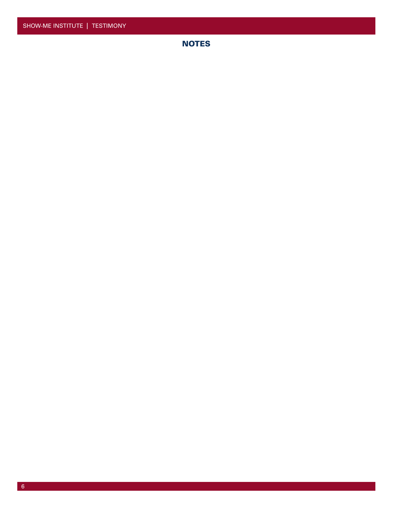# **NOTES**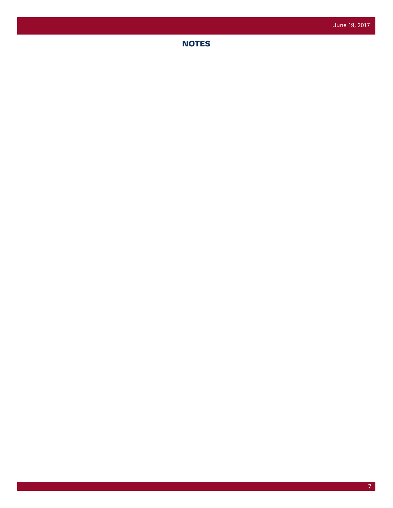# **NOTES**